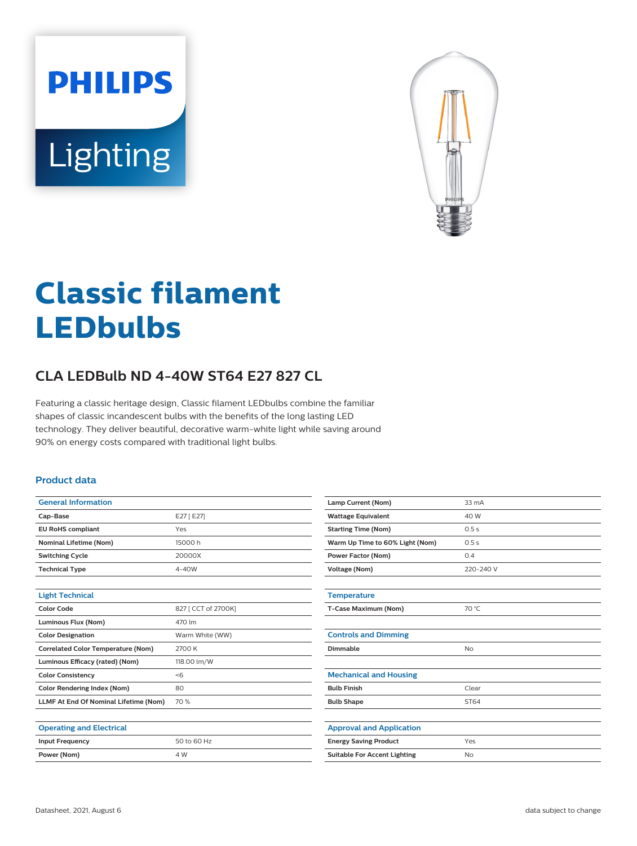**PHILIPS** Lighting



# **Classic filament LEDbulbs**

# **CLA LEDBulb ND 4-40W ST64 E27 827 CL**

Featuring a classic heritage design, Classic filament LEDbulbs combine the familiar shapes of classic incandescent bulbs with the benefits of the long lasting LED technology. They deliver beautiful, decorative warm-white light while saving around 90% on energy costs compared with traditional light bulbs.

#### **Product data**

| <b>General Information</b>                |                     |
|-------------------------------------------|---------------------|
|                                           |                     |
| Cap-Base                                  | E27 [E27]           |
| <b>EU RoHS compliant</b>                  | Yes                 |
| <b>Nominal Lifetime (Nom)</b>             | 15000 h             |
| <b>Switching Cycle</b>                    | 20000X              |
| <b>Technical Type</b>                     | $4 - 40W$           |
|                                           |                     |
| <b>Light Technical</b>                    |                     |
| Color Code                                | 827 [ CCT of 2700K] |
| Luminous Flux (Nom)                       | 470 lm              |
| <b>Color Designation</b>                  | Warm White (WW)     |
| <b>Correlated Color Temperature (Nom)</b> | 2700 K              |
| Luminous Efficacy (rated) (Nom)           | 118.00 lm/W         |
| <b>Color Consistency</b>                  | < 6                 |
| <b>Color Rendering Index (Nom)</b>        | 80                  |
| LLMF At End Of Nominal Lifetime (Nom)     | 70 %                |
|                                           |                     |
| <b>Operating and Electrical</b>           |                     |
| <b>Input Frequency</b>                    | 50 to 60 Hz         |
| Power (Nom)                               | 4 W                 |

| Lamp Current (Nom)                  | $33 \text{ mA}$ |
|-------------------------------------|-----------------|
| <b>Wattage Equivalent</b>           | 40 W            |
| <b>Starting Time (Nom)</b>          | 0.5s            |
| Warm Up Time to 60% Light (Nom)     | 0.5s            |
| <b>Power Factor (Nom)</b>           | 0.4             |
| <b>Voltage (Nom)</b>                | 220-240 V       |
|                                     |                 |
| <b>Temperature</b>                  |                 |
| T-Case Maximum (Nom)                | 70 °C           |
|                                     |                 |
| <b>Controls and Dimming</b>         |                 |
| Dimmable                            | <b>No</b>       |
|                                     |                 |
| <b>Mechanical and Housing</b>       |                 |
| <b>Bulb Finish</b>                  | Clear           |
| <b>Bulb Shape</b>                   | ST64            |
|                                     |                 |
| <b>Approval and Application</b>     |                 |
| <b>Energy Saving Product</b>        | Yes             |
| <b>Suitable For Accent Lighting</b> | N <sub>o</sub>  |
|                                     |                 |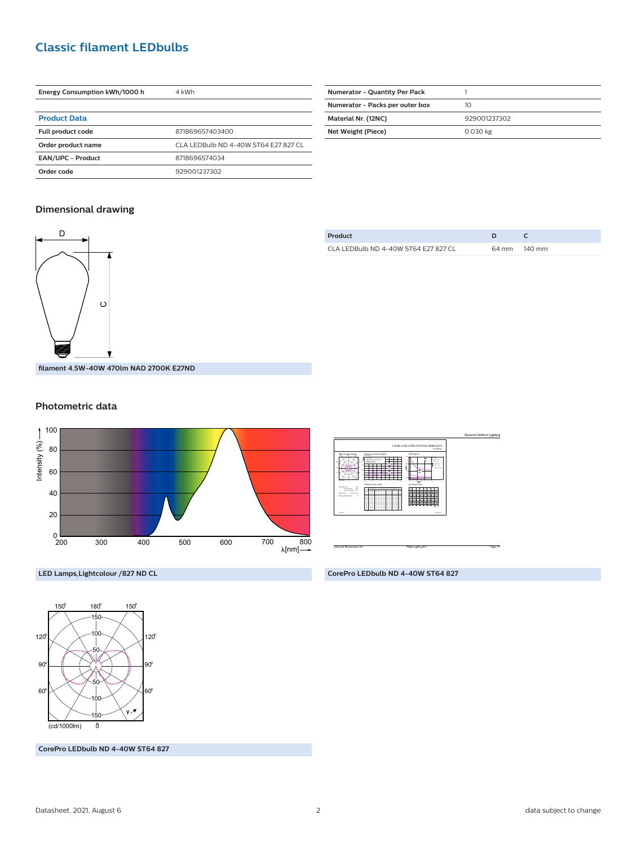## **Classic filament LEDbulbs**

| Energy Consumption kWh/1000 h | 4 kWh                                |
|-------------------------------|--------------------------------------|
|                               |                                      |
| <b>Product Data</b>           |                                      |
| <b>Full product code</b>      | 871869657403400                      |
| Order product name            | CLA LEDBulb ND 4-40W ST64 E27 827 CL |
| <b>EAN/UPC - Product</b>      | 8718696574034                        |
| Order code                    | 929001237302                         |

| <b>Numerator - Quantity Per Pack</b> |              |
|--------------------------------------|--------------|
| Numerator - Packs per outer box      | 10           |
| Material Nr. (12NC)                  | 929001237302 |
| Net Weight (Piece)                   | 0.030 kg     |
|                                      |              |

#### **Dimensional drawing**



| Product                              |              |
|--------------------------------------|--------------|
| CLA LEDBulb ND 4-40W ST64 E27 827 CL | 64 mm 140 mm |

**filament 4.5W-40W 470lm NAD 2700K E27ND**

#### **Photometric data**





**CorePro LEDbulb ND 4-40W ST64 827**



**LED Lamps,Lightcolour /827 ND CL**

**CorePro LEDbulb ND 4-40W ST64 827**